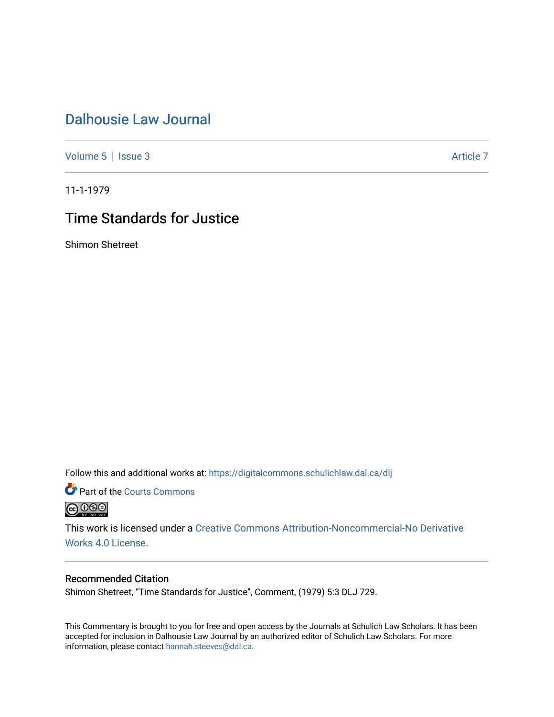### [Dalhousie Law Journal](https://digitalcommons.schulichlaw.dal.ca/dlj)

[Volume 5](https://digitalcommons.schulichlaw.dal.ca/dlj/vol5) | [Issue 3](https://digitalcommons.schulichlaw.dal.ca/dlj/vol5/iss3) Article 7

11-1-1979

## Time Standards for Justice

Shimon Shetreet

Follow this and additional works at: [https://digitalcommons.schulichlaw.dal.ca/dlj](https://digitalcommons.schulichlaw.dal.ca/dlj?utm_source=digitalcommons.schulichlaw.dal.ca%2Fdlj%2Fvol5%2Fiss3%2F7&utm_medium=PDF&utm_campaign=PDFCoverPages) 

Part of the [Courts Commons](http://network.bepress.com/hgg/discipline/839?utm_source=digitalcommons.schulichlaw.dal.ca%2Fdlj%2Fvol5%2Fiss3%2F7&utm_medium=PDF&utm_campaign=PDFCoverPages) 



This work is licensed under a [Creative Commons Attribution-Noncommercial-No Derivative](https://creativecommons.org/licenses/by-nc-nd/4.0/)  [Works 4.0 License](https://creativecommons.org/licenses/by-nc-nd/4.0/).

#### Recommended Citation

Shimon Shetreet, "Time Standards for Justice", Comment, (1979) 5:3 DLJ 729.

This Commentary is brought to you for free and open access by the Journals at Schulich Law Scholars. It has been accepted for inclusion in Dalhousie Law Journal by an authorized editor of Schulich Law Scholars. For more information, please contact [hannah.steeves@dal.ca](mailto:hannah.steeves@dal.ca).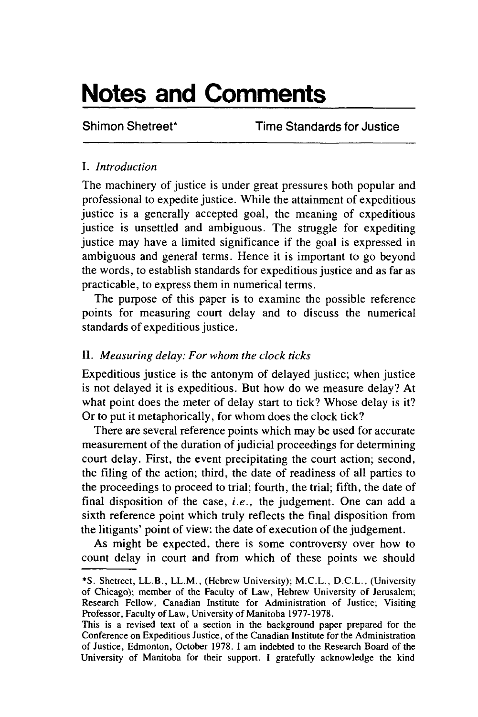# **Notes and Comments**

Shimon Shetreet\* Time Standards for Justice

#### *I. Introduction*

The machinery of justice is under great pressures both popular and professional to expedite justice. While the attainment of expeditious justice is a generally accepted goal, the meaning of expeditious justice is unsettled and ambiguous. The struggle for expediting justice may have a limited significance if the goal is expressed in ambiguous and general terms. Hence it is important to go beyond the words, to establish standards for expeditious justice and as far as practicable, to express them in numerical terms.

The purpose of this paper is to examine the possible reference points for measuring court delay and to discuss the numerical standards of expeditious justice.

#### II. *Measuring delay: For whom the clock ticks*

Expeditious justice is the antonym of delayed justice; when justice is not delayed it is expeditious. But how do we measure delay? At what point does the meter of delay start to tick? Whose delay is it? Or to put it metaphorically, for whom does the clock tick?

There are several reference points which may be used for accurate measurement of the duration of judicial proceedings for determining court delay. First, the event precipitating the court action; second, the filing of the action; third, the date of readiness of all parties to the proceedings to proceed to trial; fourth, the trial; fifth, the date of final disposition of the case, *i.e.,* the judgement. One can add a sixth reference point which truly reflects the final disposition from the litigants' point of view: the date of execution of the judgement.

As might be expected, there is some controversy over how to count delay in court and from which of these points we should

**<sup>\*</sup>S.** Shetreet, LL.B., LL.M., (Hebrew University); M.C.L., D.C.L., (University of Chicago); member of the Faculty of Law, Hebrew University of Jerusalem; Research Fellow, Canadian Institute for Administration of Justice; Visiting Professor, Faculty of Law, University of Manitoba 1977-1978.

This is a revised text of a section in the background paper prepared for the Conference on Expeditious Justice, of the Canadian Institute for the Administration of Justice, Edmonton, October 1978. I am indebted to the Research Board of the University of Manitoba for their support. I gratefully acknowledge the kind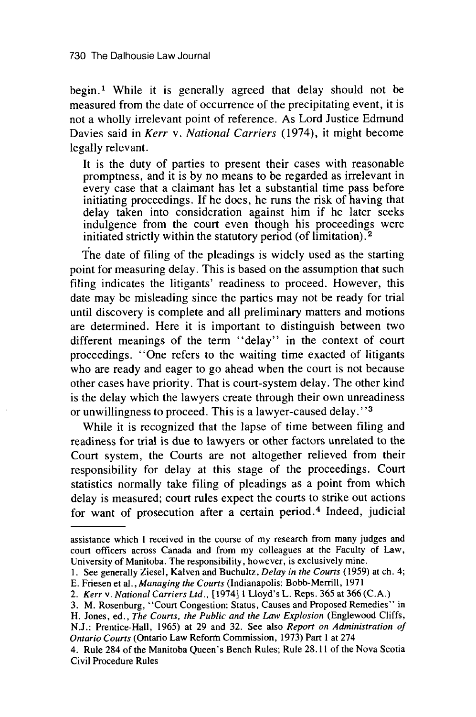begin.' While it is generally agreed that delay should not be measured from the date of occurrence of the precipitating event, it is not a wholly irrelevant point of reference. As Lord Justice Edmund Davies said in *Kerr v. National Carriers* (1974), it might become legally relevant.

It is the duty of parties to present their cases with reasonable promptness, and it is by no means to be regarded as irrelevant in every case that a claimant has let a substantial time pass before initiating proceedings. If he does, he runs the risk of having that delay taken into consideration against him if he later seeks indulgence from the court even though his proceedings were initiated strictly within the statutory period (of limitation). 2

The date of filing of the pleadings is widely used as the starting point for measuring delay. This is based on the assumption that such filing indicates the litigants' readiness to proceed. However, this date may be misleading since the parties may not be ready for trial until discovery is complete and all preliminary matters and motions are determined. Here it is important to distinguish between two different meanings of the term "delay" in the context of court proceedings. "One refers to the waiting time exacted of litigants who are ready and eager to go ahead when the court is not because other cases have priority. That is court-system delay. The other kind is the delay which the lawyers create through their own unreadiness or unwillingness to proceed. This is a lawyer-caused delay.' **-**

While it is recognized that the lapse of time between filing and readiness for trial is due to lawyers or other factors unrelated to the Court system, the Courts are not altogether relieved from their responsibility for delay at this stage of the proceedings. Court statistics normally take filing of pleadings as a point from which delay is measured; court rules expect the courts to strike out actions for want of prosecution after a certain period.<sup>4</sup> Indeed, judicial

*Ontario Courts* (Ontario Law Reforrn Commission, 1973) Part 1 at 274

assistance which **I** received in the course of my research from many judges and court officers across Canada and from my colleagues at the Faculty of Law, University of Manitoba. The responsibility, however, is exclusively mine.

<sup>1.</sup> See generally Ziesel, Kalven and Buchultz, *Delay in the Courts* (1959) at ch. 4;

E. Friesen et al., *Managing the Courts* (Indianapolis: Bobb-Merrill, 1971

<sup>2.</sup> *Kerr v. National Carriers Ltd.,* [1974] 1 Lloyd's L. Reps. 365 at 366 (C.A.)

<sup>3.</sup> M. Rosenburg, "Court Congestion: Status, Causes and Proposed Remedies" in H. Jones, ed., *The Courts, the Public and the Law Explosion* (Englewood Cliffs, N.J.: Prentice-Hall, 1965) at 29 and 32. See also *Report on Administration of*

<sup>4.</sup> Rule 284 of the Manitoba Queen's Bench Rules; Rule 28.11 of the Nova Scotia Civil Procedure Rules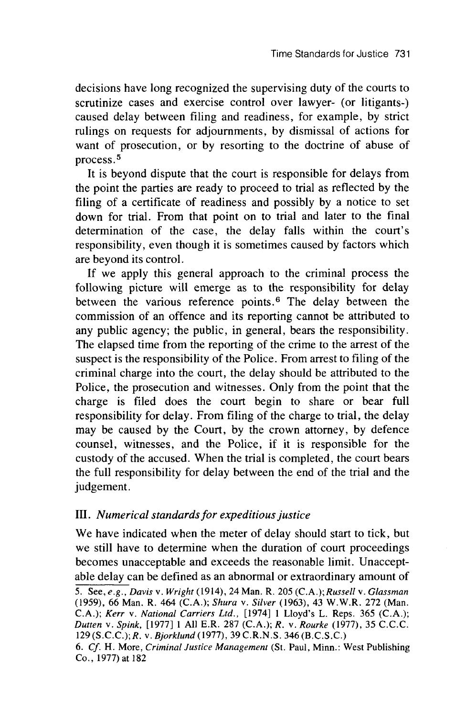decisions have long recognized the supervising duty of the courts to scrutinize cases and exercise control over lawyer- (or litigants-) caused delay between filing and readiness, for example, by strict rulings on requests for adjournments, by dismissal of actions for want of prosecution, or by resorting to the doctrine of abuse of process.<sup>5</sup>

It is beyond dispute that the court is responsible for delays from the point the parties are ready to proceed to trial as reflected by the filing of a certificate of readiness and possibly by a notice to set down for trial. From that point on to trial and later to the final determination of the case, the delay falls within the court's responsibility, even though it is sometimes caused by factors which are beyond its control.

If we apply this general approach to the criminal process the following picture will emerge as to the responsibility for delay between the various reference points. 6 The delay between the commission of an offence and its reporting cannot be attributed to any public agency; the public, in general, bears the responsibility. The elapsed time from the reporting of the crime to the arrest of the suspect is the responsibility of the Police. From arrest to filing of the criminal charge into the court, the delay should be attributed to the Police, the prosecution and witnesses. Only from the point that the charge is filed does the court begin to share or bear full responsibility for delay. From filing of the charge to trial, the delay may be caused by the Court, by the crown attorney, by defence counsel, witnesses, and the Police, if it is responsible for the custody of the accused. When the trial is completed, the court bears the full responsibility for delay between the end of the trial and the judgement.

#### III. *Numerical standards for expeditious justice*

We have indicated when the meter of delay should start to tick, but we still have to determine when the duration of court proceedings becomes unacceptable and exceeds the reasonable limit. Unacceptable delay can be defined as an abnormal or extraordinary amount of

<sup>5.</sup> See, *e.g., Davis v. Wright* (1914), 24 Man. R. 205 *(C.A.);Russell v. Glassman* (1959), 66 Man. R. 464 (C.A.); *Shura v. Silver* (1963), 43 W.W.R. 272 (Man. C.A.); *Kerr v. National Carriers Ltd.,* [1974] 1 Lloyd's L. Reps. 365 (C.A.); *Dutten v. Spink,* [1977] 1 All E.R. 287 (C.A.); *R.* v. *Rourke* (1977), 35 C.C.C. 129 (S.C.C.); *R. v. Bjorklund (1977),* 39 C.R.N.S. 346 (B.C.S.C.)

*<sup>6.</sup> Cf.* H. More, *Criminal Justice Management* (St. Paul, Minn.: West Publishing Co., 1977) at 182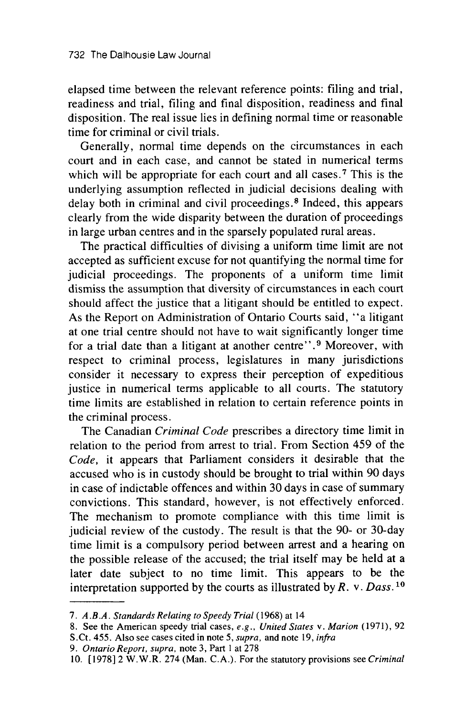elapsed time between the relevant reference points: filing and trial, readiness and trial, filing and final disposition, readiness and final disposition. The real issue lies in defining normal time or reasonable time for criminal or civil trials.

Generally, normal time depends on the circumstances in each court and in each case, and cannot be stated in numerical terms which will be appropriate for each court and all cases.<sup>7</sup> This is the underlying assumption reflected in judicial decisions dealing with delay both in criminal and civil proceedings. 8 Indeed, this appears clearly from the wide disparity between the duration of proceedings in large urban centres and in the sparsely populated rural areas.

The practical difficulties of divising a uniform time limit are not accepted as sufficient excuse for not quantifying the normal time for judicial proceedings. The proponents of a uniform time limit dismiss the assumption that diversity of circumstances in each court should affect the justice that a litigant should be entitled to expect. As the Report on Administration of Ontario Courts said, "a litigant at one trial centre should not have to wait significantly longer time for a trial date than a litigant at another centre". 9 Moreover, with respect to criminal process, legislatures in many jurisdictions consider it necessary to express their perception of expeditious justice in numerical terms applicable to all courts. The statutory time limits are established in relation to certain reference points in the criminal process.

The Canadian *Criminal Code* prescribes a directory time limit in relation to the period from arrest to trial. From Section 459 of the *Code,* it appears that Parliament considers it desirable that the accused who is in custody should be brought to trial within 90 days in case of indictable offences and within 30 days in case of summary convictions. This standard, however, is not effectively enforced. The mechanism to promote compliance with this time limit is judicial review of the custody. The result is that the 90- or 30-day time limit is a compulsory period between arrest and a hearing on the possible release of the accused; the trial itself may be held at a later date subject to no time limit. This appears to be the interpretation supported by the courts as illustrated by  $R$ .  $v$ . *Dass*.<sup>10</sup>

*<sup>7.</sup> A.B.A. Standards Relating to Speedy Trial* (1968) at 14

<sup>8.</sup> See the American speedy trial cases, *e.g., United States v. Marion* (1971), 92

S.Ct. 455. Also see cases cited in note 5, *supra,* and note 19, *infra*

*<sup>9.</sup> Ontario Report, supra,* note 3, Part **I** at 278

<sup>10. [1978] 2</sup> W.W.R. 274 (Man. C.A.). For the statutory provisions see *Criminal*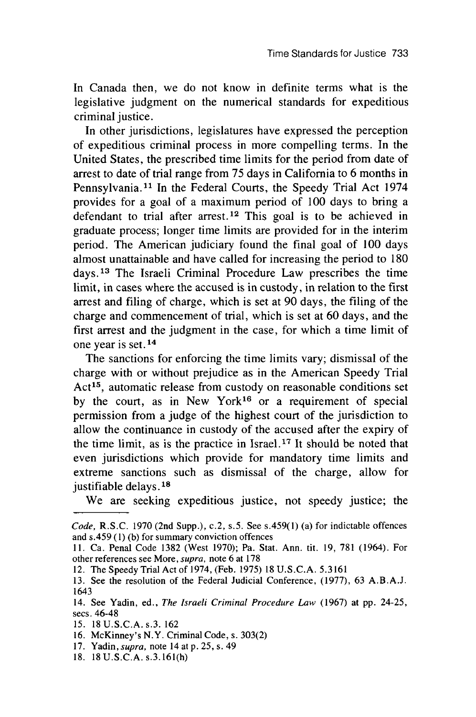In Canada then, we do not know in definite terms what is the legislative judgment on the numerical standards for expeditious criminal justice.

In other jurisdictions, legislatures have expressed the perception of expeditious criminal process in more compelling terms. In the United States, the prescribed time limits for the period from date of arrest to date of trial range from 75 days in California to 6 months in Pennsylvania.<sup>11</sup> In the Federal Courts, the Speedy Trial Act 1974 provides for a goal of a maximum period of 100 days to bring a defendant to trial after arrest.<sup>12</sup> This goal is to be achieved in graduate process; longer time limits are provided for in the interim period. The American judiciary found the final goal of 100 days almost unattainable and have called for increasing the period to 180 days. 13 The Israeli Criminal Procedure Law prescribes the time limit, in cases where the accused is in custody, in relation to the first arrest and filing of charge, which is set at 90 days, the filing of the charge and commencement of trial, which is set at 60 days, and the first arrest and the judgment in the case, for which a time limit of one year is set. **14**

The sanctions for enforcing the time limits vary; dismissal of the charge with or without prejudice as in the American Speedy Trial Act<sup>15</sup>, automatic release from custody on reasonable conditions set by the court, as in New York16 or a requirement of special permission from a judge of the highest court of the jurisdiction to allow the continuance in custody of the accused after the expiry of the time limit, as is the practice in Israel. 17 It should be noted that even jurisdictions which provide for mandatory time limits and extreme sanctions such as dismissal of the charge, allow for justifiable delays. **' 8**

We are seeking expeditious justice, not speedy justice; the

*Code,* R.S.C. 1970 (2nd Supp.), c.2, s.5. See s.459(1) (a) for indictable offences and s.459 (1) (b) for summary conviction offences

<sup>11.</sup> Ca. Penal Code 1382 (West 1970); Pa. Stat. Ann. tit. 19, 781 (1964). For other references see More, *supra,* note 6 at 178

<sup>12.</sup> The Speedy Trial Act of 1974, (Feb. 1975) **18** U.S.C.A. 5.3161

<sup>13.</sup> See the resolution of the Federal Judicial Conference, (1977), 63 A.B.A.J. 1643

<sup>14.</sup> See Yadin, ed., *The Israeli Criminal Procedure Law* (1967) at pp. 24-25, secs. 46-48

<sup>15. 18</sup> U.S.C.A. s.3. 162

<sup>16.</sup> McKinney's N.Y. Criminal Code, s. 303(2)

<sup>17.</sup> Yadin, *supra,* note 14 at p. 25, s. 49

<sup>18. 18</sup>U.S.C.A.s.3.161(h)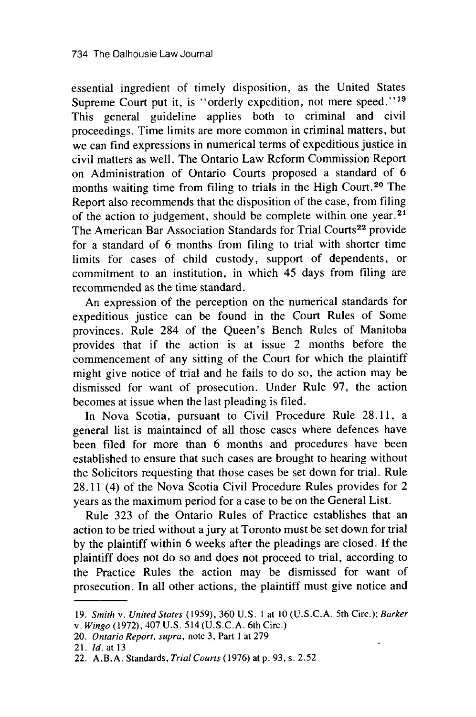essential ingredient of timely disposition, as the United States Supreme Court put it, is "orderly expedition, not mere speed."<sup>19</sup> This general guideline applies both to criminal and civil proceedings. Time limits are more common in criminal matters, but we can find expressions in numerical terms of expeditious justice in civil matters as well. The Ontario Law Reform Commission Report on Administration of Ontario Courts proposed a standard of 6 months waiting time from filing to trials in the High Court. 20 The Report also recommends that the disposition of the case, from filing of the action to judgement, should be complete within one year.<sup>21</sup> The American Bar Association Standards for Trial Courts<sup>22</sup> provide for a standard of 6 months from filing to trial with shorter time limits for cases of child custody, support of dependents, or commitment to an institution, in which 45 days from filing are recommended as the time standard.

An expression of the perception on the numerical standards for expeditious justice can be found in the Court Rules of Some provinces. Rule 284 of the Queen's Bench Rules of Manitoba provides that if the action is at issue 2 months before the commencement of any sitting of the Court for which the plaintiff might give notice of trial and he fails to do so, the action may be dismissed for want of prosecution. Under Rule 97, the action becomes at issue when the last pleading is filed.

In Nova Scotia, pursuant to Civil Procedure Rule 28.11, a general list is maintained of all those cases where defences have been filed for more than 6 months and procedures have been established to ensure that such cases are brought to hearing without the Solicitors requesting that those cases be set down for trial. Rule 28.11 (4) of the Nova Scotia Civil Procedure Rules provides for 2 years as the maximum period for a case to be on the General List.

Rule 323 of the Ontario Rules of Practice establishes that an action to be tried without a jury at Toronto must be set down for trial by the plaintiff within 6 weeks after the pleadings are closed. If the plaintiff does not do so and does not proceed to trial, according to the Practice Rules the action may be dismissed for want of prosecution. In all other actions, the plaintiff must give notice and

<sup>19.</sup> *Smith v. United States* (1959), 360 U.S. 1 at 10 (U.S.C.A. 5th Circ.); *Barker v. Wingo* (1972), 407 U.S. 514 (U.S.C.A. 6th Circ.)

<sup>20.</sup> Ontario Report, supra, note 3, Part 1 at 279

<sup>21.</sup> *Id.* at 13

<sup>22.</sup> A.B.A. Standards, Trial Courts (1976) at p. 93, s. 2.52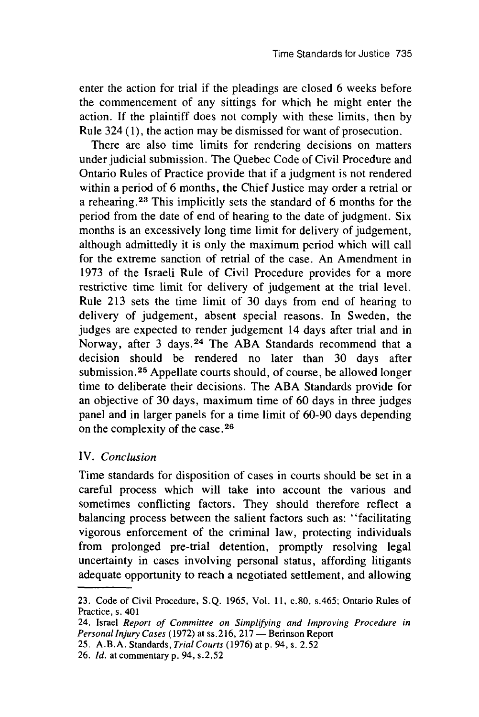enter the action for trial if the pleadings are closed 6 weeks before the commencement of any sittings for which he might enter the action. If the plaintiff does not comply with these limits, then by Rule 324 **(1),** the action may be dismissed for want of prosecution.

There are also time limits for rendering decisions on matters under judicial submission. The Quebec Code of Civil Procedure and Ontario Rules of Practice provide that if a judgment is not rendered within a period of 6 months, the Chief Justice may order a retrial or a rehearing. 23 This implicitly sets the standard of 6 months for the period from the date of end of hearing to the date of judgment. Six months is an excessively long time limit for delivery of judgement, although admittedly it is only the maximum period which will call for the extreme sanction of retrial of the case. An Amendment in 1973 of the Israeli Rule of Civil Procedure provides for a more restrictive time limit for delivery of judgement at the trial level. Rule 213 sets the time limit of 30 days from end of hearing to delivery of judgement, absent special reasons. In Sweden, the judges are expected to render judgement 14 days after trial and in Norway, after 3 days. 24 The ABA Standards recommend that a decision should be rendered no later than 30 days after submission.<sup>25</sup> Appellate courts should, of course, be allowed longer time to deliberate their decisions. The ABA Standards provide for an objective of 30 days, maximum time of 60 days in three judges panel and in larger panels for a time limit of 60-90 days depending on the complexity of the case. **2 6**

#### IV. *Conclusion*

Time standards for disposition of cases in courts should be set in a careful process which will take into account the various and sometimes conflicting factors. They should therefore reflect a balancing process between the salient factors such as: "facilitating vigorous enforcement of the criminal law, protecting individuals from prolonged pre-trial detention, promptly resolving legal uncertainty in cases involving personal status, affording litigants adequate opportunity to reach a negotiated settlement, and allowing

<sup>23.</sup> Code of Civil Procedure, S.Q. 1965, Vol. 11, c.80, s.465; Ontario Rules of Practice, s. 401

<sup>24.</sup> Israel *Report of Committee on Simplifying and Improving Procedure in Personal Injury Cases* (1972) at ss. 216, 217 **-** Berinson Report

<sup>25.</sup> A.B.A. Standards, *Trial Courts* (1976) at p. <sup>94</sup> , s. 2.52

<sup>26.</sup> *Id.* at commentary p. 94, s.2.52